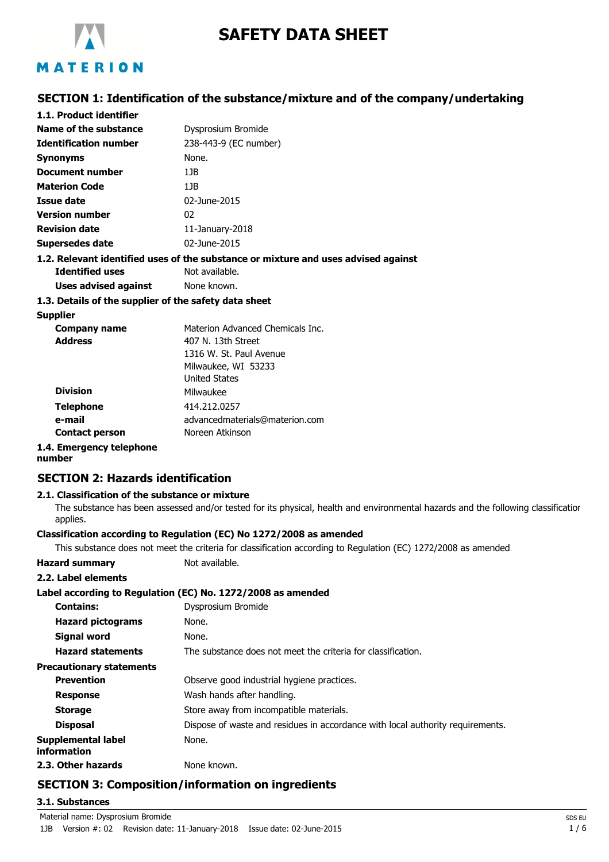

# **SAFETY DATA SHEET**

## **SECTION 1: Identification of the substance/mixture and of the company/undertaking**

| 1.1. Product identifier                               |                                                                                    |
|-------------------------------------------------------|------------------------------------------------------------------------------------|
| Name of the substance                                 | Dysprosium Bromide                                                                 |
| <b>Identification number</b>                          | 238-443-9 (EC number)                                                              |
| <b>Synonyms</b>                                       | None.                                                                              |
| Document number                                       | 1.1B                                                                               |
| <b>Materion Code</b>                                  | 1JB                                                                                |
| Issue date                                            | 02-June-2015                                                                       |
| <b>Version number</b>                                 | 02                                                                                 |
| <b>Revision date</b>                                  | 11-January-2018                                                                    |
| Supersedes date                                       | 02-June-2015                                                                       |
|                                                       | 1.2. Relevant identified uses of the substance or mixture and uses advised against |
| <b>Identified uses</b>                                | Not available.                                                                     |
| <b>Uses advised against</b> None known.               |                                                                                    |
| 1.3. Details of the supplier of the safety data sheet |                                                                                    |
| Supplier                                              |                                                                                    |
| Company name                                          | Materion Advanced Chemicals Inc.                                                   |

| <u>sonnpaniy namis</u>   |                                |
|--------------------------|--------------------------------|
| <b>Address</b>           | 407 N. 13th Street             |
|                          | 1316 W. St. Paul Avenue        |
|                          | Milwaukee, WI 53233            |
|                          | <b>United States</b>           |
| <b>Division</b>          | Milwaukee                      |
| <b>Telephone</b>         | 414.212.0257                   |
| e-mail                   | advancedmaterials@materion.com |
| <b>Contact person</b>    | Noreen Atkinson                |
| 1.4. Emergency telephone |                                |

#### **number**

#### **SECTION 2: Hazards identification**

#### **2.1. Classification of the substance or mixture**

The substance has been assessed and/or tested for its physical, health and environmental hazards and the following classification applies.

#### **Classification according to Regulation (EC) No 1272/2008 as amended**

This substance does not meet the criteria for classification according to Regulation (EC) 1272/2008 as amended.

| <b>Hazard summary</b>             | Not available.                                                                 |
|-----------------------------------|--------------------------------------------------------------------------------|
| 2.2. Label elements               |                                                                                |
|                                   | Label according to Regulation (EC) No. 1272/2008 as amended                    |
| <b>Contains:</b>                  | Dysprosium Bromide                                                             |
| <b>Hazard pictograms</b>          | None.                                                                          |
| Signal word                       | None.                                                                          |
| <b>Hazard statements</b>          | The substance does not meet the criteria for classification.                   |
| <b>Precautionary statements</b>   |                                                                                |
| <b>Prevention</b>                 | Observe good industrial hygiene practices.                                     |
| <b>Response</b>                   | Wash hands after handling.                                                     |
| <b>Storage</b>                    | Store away from incompatible materials.                                        |
| <b>Disposal</b>                   | Dispose of waste and residues in accordance with local authority requirements. |
| Supplemental label<br>information | None.                                                                          |
| 2.3. Other hazards                | None known.                                                                    |

# **SECTION 3: Composition/information on ingredients**

#### **3.1. Substances**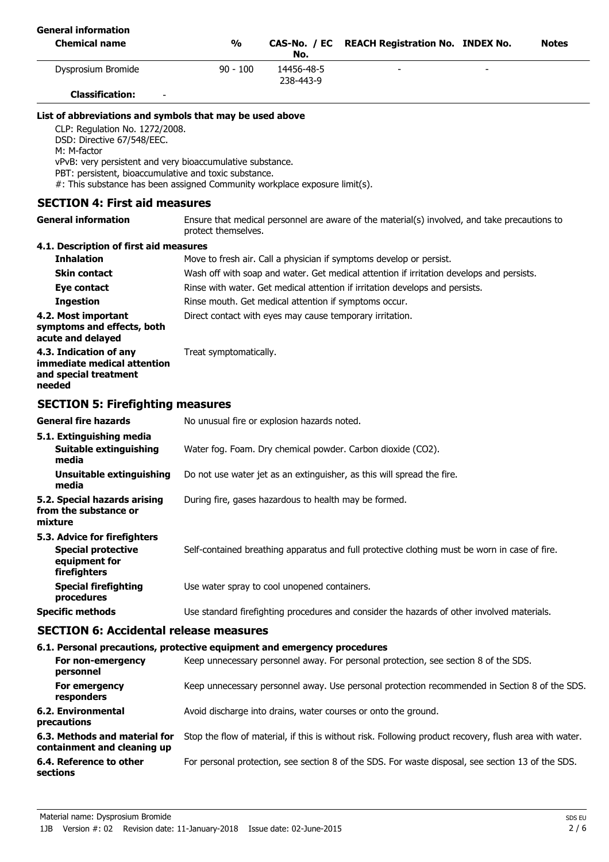| <b>General information</b>                                                                                                                                                                                                                                                      |                                                                                                                     |                                                                                                                                       |                                                                                               |  |              |
|---------------------------------------------------------------------------------------------------------------------------------------------------------------------------------------------------------------------------------------------------------------------------------|---------------------------------------------------------------------------------------------------------------------|---------------------------------------------------------------------------------------------------------------------------------------|-----------------------------------------------------------------------------------------------|--|--------------|
| <b>Chemical name</b>                                                                                                                                                                                                                                                            | $\frac{1}{2}$                                                                                                       | No.                                                                                                                                   | CAS-No. / EC REACH Registration No. INDEX No.                                                 |  | <b>Notes</b> |
| Dysprosium Bromide                                                                                                                                                                                                                                                              | $90 - 100$                                                                                                          | 14456-48-5<br>238-443-9                                                                                                               |                                                                                               |  |              |
| <b>Classification:</b>                                                                                                                                                                                                                                                          |                                                                                                                     |                                                                                                                                       |                                                                                               |  |              |
| List of abbreviations and symbols that may be used above                                                                                                                                                                                                                        |                                                                                                                     |                                                                                                                                       |                                                                                               |  |              |
| CLP: Regulation No. 1272/2008.<br>DSD: Directive 67/548/EEC.<br>M: M-factor<br>vPvB: very persistent and very bioaccumulative substance.<br>PBT: persistent, bioaccumulative and toxic substance.<br>#: This substance has been assigned Community workplace exposure limit(s). |                                                                                                                     |                                                                                                                                       |                                                                                               |  |              |
| <b>SECTION 4: First aid measures</b>                                                                                                                                                                                                                                            |                                                                                                                     |                                                                                                                                       |                                                                                               |  |              |
| <b>General information</b>                                                                                                                                                                                                                                                      | Ensure that medical personnel are aware of the material(s) involved, and take precautions to<br>protect themselves. |                                                                                                                                       |                                                                                               |  |              |
| 4.1. Description of first aid measures                                                                                                                                                                                                                                          |                                                                                                                     |                                                                                                                                       |                                                                                               |  |              |
| <b>Inhalation</b>                                                                                                                                                                                                                                                               |                                                                                                                     |                                                                                                                                       | Move to fresh air. Call a physician if symptoms develop or persist.                           |  |              |
| <b>Skin contact</b>                                                                                                                                                                                                                                                             | Wash off with soap and water. Get medical attention if irritation develops and persists.                            |                                                                                                                                       |                                                                                               |  |              |
| Eye contact                                                                                                                                                                                                                                                                     |                                                                                                                     | Rinse with water. Get medical attention if irritation develops and persists.<br>Rinse mouth. Get medical attention if symptoms occur. |                                                                                               |  |              |
| <b>Ingestion</b>                                                                                                                                                                                                                                                                |                                                                                                                     |                                                                                                                                       |                                                                                               |  |              |
| 4.2. Most important<br>symptoms and effects, both<br>acute and delayed                                                                                                                                                                                                          | Direct contact with eyes may cause temporary irritation.                                                            |                                                                                                                                       |                                                                                               |  |              |
| 4.3. Indication of any<br>immediate medical attention<br>and special treatment<br>needed                                                                                                                                                                                        | Treat symptomatically.                                                                                              |                                                                                                                                       |                                                                                               |  |              |
| <b>SECTION 5: Firefighting measures</b>                                                                                                                                                                                                                                         |                                                                                                                     |                                                                                                                                       |                                                                                               |  |              |
| <b>General fire hazards</b>                                                                                                                                                                                                                                                     | No unusual fire or explosion hazards noted.                                                                         |                                                                                                                                       |                                                                                               |  |              |
| 5.1. Extinguishing media<br>Suitable extinguishing<br>media                                                                                                                                                                                                                     |                                                                                                                     |                                                                                                                                       | Water fog. Foam. Dry chemical powder. Carbon dioxide (CO2).                                   |  |              |
| Unsuitable extinguishing<br>media                                                                                                                                                                                                                                               |                                                                                                                     |                                                                                                                                       | Do not use water jet as an extinguisher, as this will spread the fire.                        |  |              |
| 5.2. Special hazards arising<br>from the substance or<br>mixture                                                                                                                                                                                                                | During fire, gases hazardous to health may be formed.                                                               |                                                                                                                                       |                                                                                               |  |              |
| 5.3. Advice for firefighters<br><b>Special protective</b><br>equipment for<br>firefighters                                                                                                                                                                                      |                                                                                                                     |                                                                                                                                       | Self-contained breathing apparatus and full protective clothing must be worn in case of fire. |  |              |
| <b>Special firefighting</b><br>procedures                                                                                                                                                                                                                                       | Use water spray to cool unopened containers.                                                                        |                                                                                                                                       |                                                                                               |  |              |
| <b>Specific methods</b>                                                                                                                                                                                                                                                         |                                                                                                                     |                                                                                                                                       | Use standard firefighting procedures and consider the hazards of other involved materials.    |  |              |
| <b>SECTION 6: Accidental release measures</b>                                                                                                                                                                                                                                   |                                                                                                                     |                                                                                                                                       |                                                                                               |  |              |
| 6.1. Personal precautions, protective equipment and emergency procedures                                                                                                                                                                                                        |                                                                                                                     |                                                                                                                                       |                                                                                               |  |              |
| For non-emergency                                                                                                                                                                                                                                                               |                                                                                                                     |                                                                                                                                       | Keep unnecessary personnel away. For personal protection, see section 8 of the SDS.           |  |              |

| ו טו ווטוו כוווכוקכווטן<br>personnel                         | RCCD differently Derbormer away. For Derborial Drotection, Sec Section 6 or the SDS.                   |
|--------------------------------------------------------------|--------------------------------------------------------------------------------------------------------|
| For emergency<br>responders                                  | Keep unnecessary personnel away. Use personal protection recommended in Section 8 of the SDS.          |
| 6.2. Environmental<br>precautions                            | Avoid discharge into drains, water courses or onto the ground.                                         |
| 6.3. Methods and material for<br>containment and cleaning up | Stop the flow of material, if this is without risk. Following product recovery, flush area with water. |
| 6.4. Reference to other<br>sections                          | For personal protection, see section 8 of the SDS. For waste disposal, see section 13 of the SDS.      |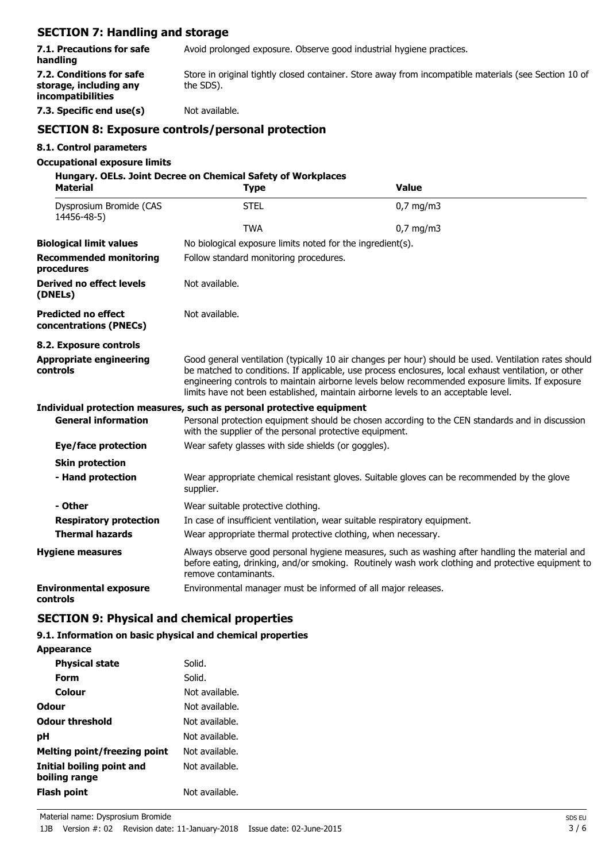| <b>SECTION 7: Handling and storage</b>                                  |                                                                                                                                                            |                                                                                                                                                                                                                                                                                                                                                                                                        |  |  |
|-------------------------------------------------------------------------|------------------------------------------------------------------------------------------------------------------------------------------------------------|--------------------------------------------------------------------------------------------------------------------------------------------------------------------------------------------------------------------------------------------------------------------------------------------------------------------------------------------------------------------------------------------------------|--|--|
| 7.1. Precautions for safe<br>handling                                   |                                                                                                                                                            | Avoid prolonged exposure. Observe good industrial hygiene practices.                                                                                                                                                                                                                                                                                                                                   |  |  |
| 7.2. Conditions for safe<br>storage, including any<br>incompatibilities | Store in original tightly closed container. Store away from incompatible materials (see Section 10 of<br>the SDS).                                         |                                                                                                                                                                                                                                                                                                                                                                                                        |  |  |
| 7.3. Specific end use(s)                                                | Not available.                                                                                                                                             |                                                                                                                                                                                                                                                                                                                                                                                                        |  |  |
|                                                                         | <b>SECTION 8: Exposure controls/personal protection</b>                                                                                                    |                                                                                                                                                                                                                                                                                                                                                                                                        |  |  |
| 8.1. Control parameters                                                 |                                                                                                                                                            |                                                                                                                                                                                                                                                                                                                                                                                                        |  |  |
| <b>Occupational exposure limits</b>                                     | Hungary. OELs. Joint Decree on Chemical Safety of Workplaces                                                                                               |                                                                                                                                                                                                                                                                                                                                                                                                        |  |  |
| <b>Material</b>                                                         | <b>Type</b>                                                                                                                                                | <b>Value</b>                                                                                                                                                                                                                                                                                                                                                                                           |  |  |
| Dysprosium Bromide (CAS<br>14456-48-5)                                  | <b>STEL</b>                                                                                                                                                | $0,7$ mg/m3                                                                                                                                                                                                                                                                                                                                                                                            |  |  |
|                                                                         | <b>TWA</b>                                                                                                                                                 | $0,7$ mg/m3                                                                                                                                                                                                                                                                                                                                                                                            |  |  |
| <b>Biological limit values</b>                                          | No biological exposure limits noted for the ingredient(s).                                                                                                 |                                                                                                                                                                                                                                                                                                                                                                                                        |  |  |
| <b>Recommended monitoring</b><br>procedures                             | Follow standard monitoring procedures.                                                                                                                     |                                                                                                                                                                                                                                                                                                                                                                                                        |  |  |
| Derived no effect levels<br>(DNELs)                                     | Not available.                                                                                                                                             |                                                                                                                                                                                                                                                                                                                                                                                                        |  |  |
| <b>Predicted no effect</b><br>concentrations (PNECs)                    | Not available.                                                                                                                                             |                                                                                                                                                                                                                                                                                                                                                                                                        |  |  |
| 8.2. Exposure controls                                                  |                                                                                                                                                            |                                                                                                                                                                                                                                                                                                                                                                                                        |  |  |
| <b>Appropriate engineering</b><br>controls                              |                                                                                                                                                            | Good general ventilation (typically 10 air changes per hour) should be used. Ventilation rates should<br>be matched to conditions. If applicable, use process enclosures, local exhaust ventilation, or other<br>engineering controls to maintain airborne levels below recommended exposure limits. If exposure<br>limits have not been established, maintain airborne levels to an acceptable level. |  |  |
|                                                                         | Individual protection measures, such as personal protective equipment                                                                                      |                                                                                                                                                                                                                                                                                                                                                                                                        |  |  |
| <b>General information</b>                                              | Personal protection equipment should be chosen according to the CEN standards and in discussion<br>with the supplier of the personal protective equipment. |                                                                                                                                                                                                                                                                                                                                                                                                        |  |  |
| Eye/face protection                                                     | Wear safety glasses with side shields (or goggles).                                                                                                        |                                                                                                                                                                                                                                                                                                                                                                                                        |  |  |
| <b>Skin protection</b>                                                  |                                                                                                                                                            |                                                                                                                                                                                                                                                                                                                                                                                                        |  |  |
| - Hand protection                                                       | supplier.                                                                                                                                                  | Wear appropriate chemical resistant gloves. Suitable gloves can be recommended by the glove                                                                                                                                                                                                                                                                                                            |  |  |
| - Other                                                                 | Wear suitable protective clothing.                                                                                                                         |                                                                                                                                                                                                                                                                                                                                                                                                        |  |  |
| <b>Respiratory protection</b>                                           |                                                                                                                                                            | In case of insufficient ventilation, wear suitable respiratory equipment.                                                                                                                                                                                                                                                                                                                              |  |  |
| <b>Thermal hazards</b>                                                  | Wear appropriate thermal protective clothing, when necessary.                                                                                              |                                                                                                                                                                                                                                                                                                                                                                                                        |  |  |
| <b>Hygiene measures</b>                                                 | remove contaminants.                                                                                                                                       | Always observe good personal hygiene measures, such as washing after handling the material and<br>before eating, drinking, and/or smoking. Routinely wash work clothing and protective equipment to                                                                                                                                                                                                    |  |  |
| <b>Environmental exposure</b>                                           | Environmental manager must be informed of all major releases.                                                                                              |                                                                                                                                                                                                                                                                                                                                                                                                        |  |  |

**controls**

# **SECTION 9: Physical and chemical properties**

## **9.1. Information on basic physical and chemical properties**

**Appearance**

| <b>Physical state</b>                      | Solid.         |
|--------------------------------------------|----------------|
| Form                                       | Solid.         |
| Colour                                     | Not available. |
| Odour                                      | Not available. |
| Odour threshold                            | Not available. |
| pН                                         | Not available. |
| Melting point/freezing point               | Not available. |
| Initial boiling point and<br>boiling range | Not available. |
| Flash point                                | Not available. |
|                                            |                |

Material name: Dysprosium Bromide SDS EU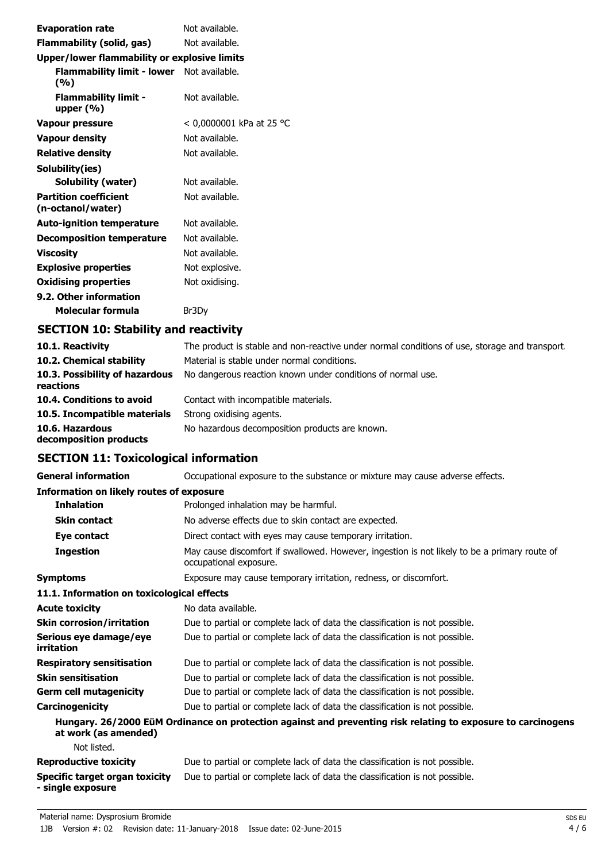| <b>Evaporation rate</b>                                 | Not available.           |
|---------------------------------------------------------|--------------------------|
| Flammability (solid, gas)                               | Not available.           |
| <b>Upper/lower flammability or explosive limits</b>     |                          |
| <b>Flammability limit - lower</b> Not available.<br>(%) |                          |
| <b>Flammability limit -</b><br>upper $(% )$             | Not available.           |
| Vapour pressure                                         | < 0,0000001 kPa at 25 °C |
| <b>Vapour density</b>                                   | Not available.           |
| <b>Relative density</b>                                 | Not available.           |
| Solubility(ies)                                         |                          |
| Solubility (water)                                      | Not available.           |
| <b>Partition coefficient</b><br>(n-octanol/water)       | Not available.           |
| <b>Auto-ignition temperature</b>                        | Not available.           |
| <b>Decomposition temperature</b>                        | Not available.           |
| <b>Viscosity</b>                                        | Not available.           |
| <b>Explosive properties</b>                             | Not explosive.           |
| <b>Oxidising properties</b>                             | Not oxidising.           |
| 9.2. Other information                                  |                          |
| Molecular formula                                       | Br3Dv                    |
|                                                         |                          |

# **SECTION 10: Stability and reactivity**

| 10.1. Reactivity                            | The product is stable and non-reactive under normal conditions of use, storage and transport. |
|---------------------------------------------|-----------------------------------------------------------------------------------------------|
| 10.2. Chemical stability                    | Material is stable under normal conditions.                                                   |
| 10.3. Possibility of hazardous<br>reactions | No dangerous reaction known under conditions of normal use.                                   |
| 10.4. Conditions to avoid                   | Contact with incompatible materials.                                                          |
| 10.5. Incompatible materials                | Strong oxidising agents.                                                                      |
| 10.6. Hazardous<br>decomposition products   | No hazardous decomposition products are known.                                                |

# **SECTION 11: Toxicological information**

| <b>General information</b>                          | Occupational exposure to the substance or mixture may cause adverse effects.                                           |
|-----------------------------------------------------|------------------------------------------------------------------------------------------------------------------------|
| <b>Information on likely routes of exposure</b>     |                                                                                                                        |
| <b>Inhalation</b>                                   | Prolonged inhalation may be harmful.                                                                                   |
| <b>Skin contact</b>                                 | No adverse effects due to skin contact are expected.                                                                   |
| Eye contact                                         | Direct contact with eyes may cause temporary irritation.                                                               |
| <b>Ingestion</b>                                    | May cause discomfort if swallowed. However, ingestion is not likely to be a primary route of<br>occupational exposure. |
| <b>Symptoms</b>                                     | Exposure may cause temporary irritation, redness, or discomfort.                                                       |
| 11.1. Information on toxicological effects          |                                                                                                                        |
| <b>Acute toxicity</b>                               | No data available.                                                                                                     |
| <b>Skin corrosion/irritation</b>                    | Due to partial or complete lack of data the classification is not possible.                                            |
| Serious eye damage/eye<br>irritation                | Due to partial or complete lack of data the classification is not possible.                                            |
| <b>Respiratory sensitisation</b>                    | Due to partial or complete lack of data the classification is not possible.                                            |
| <b>Skin sensitisation</b>                           | Due to partial or complete lack of data the classification is not possible.                                            |
| <b>Germ cell mutagenicity</b>                       | Due to partial or complete lack of data the classification is not possible.                                            |
| Carcinogenicity                                     | Due to partial or complete lack of data the classification is not possible.                                            |
| at work (as amended)                                | Hungary. 26/2000 EüM Ordinance on protection against and preventing risk relating to exposure to carcinogens           |
| Not listed.                                         |                                                                                                                        |
| <b>Reproductive toxicity</b>                        | Due to partial or complete lack of data the classification is not possible.                                            |
| Specific target organ toxicity<br>- single exposure | Due to partial or complete lack of data the classification is not possible.                                            |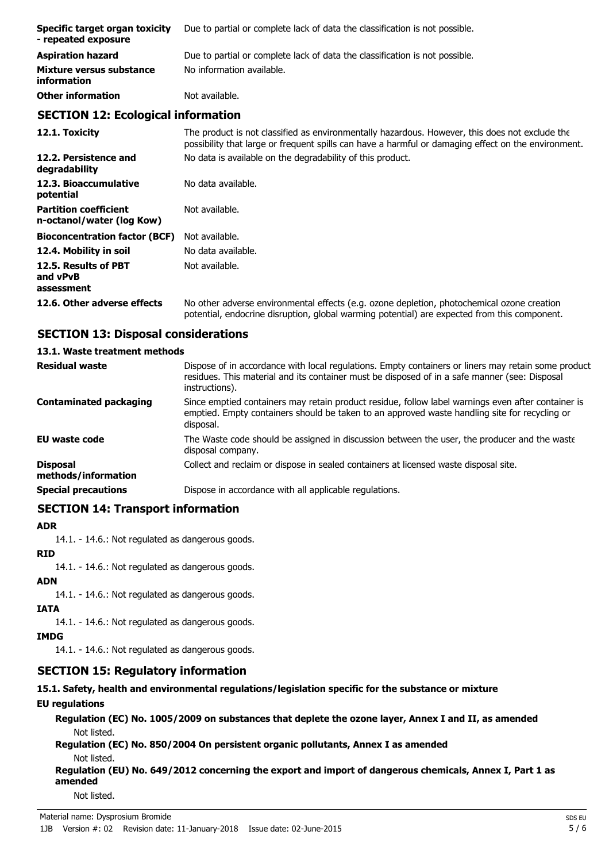| Specific target organ toxicity<br>- repeated exposure | Due to partial or complete lack of data the classification is not possible. |
|-------------------------------------------------------|-----------------------------------------------------------------------------|
| <b>Aspiration hazard</b>                              | Due to partial or complete lack of data the classification is not possible. |
| Mixture versus substance<br><i>information</i>        | No information available.                                                   |
| <b>Other information</b>                              | Not available.                                                              |

## **SECTION 12: Ecological information**

**12.1. Toxicity** The product is not classified as environmentally hazardous. However, this does not exclude the possibility that large or frequent spills can have a harmful or damaging effect on the environment. **12.2. Persistence and** No data is available on the degradability of this product. **degradability** 12.3. Bioaccumulative No data available. **potential Partition coefficient n-octanol/water (log Kow)** Not available. **Bioconcentration factor (BCF)** Not available. **12.4. Mobility in soil** No data available. **12.5. Results of PBT and vPvB assessment** Not available. **12.6. Other adverse effects** No other adverse environmental effects (e.g. ozone depletion, photochemical ozone creation potential, endocrine disruption, global warming potential) are expected from this component.

# **SECTION 13: Disposal considerations**

# **13.1. Waste treatment methods**

| <b>Residual waste</b>                  | Dispose of in accordance with local regulations. Empty containers or liners may retain some product<br>residues. This material and its container must be disposed of in a safe manner (see: Disposal<br>instructions). |
|----------------------------------------|------------------------------------------------------------------------------------------------------------------------------------------------------------------------------------------------------------------------|
| <b>Contaminated packaging</b>          | Since emptied containers may retain product residue, follow label warnings even after container is<br>emptied. Empty containers should be taken to an approved waste handling site for recycling or<br>disposal.       |
| <b>EU waste code</b>                   | The Waste code should be assigned in discussion between the user, the producer and the waste<br>disposal company.                                                                                                      |
| <b>Disposal</b><br>methods/information | Collect and reclaim or dispose in sealed containers at licensed waste disposal site.                                                                                                                                   |
| <b>Special precautions</b>             | Dispose in accordance with all applicable regulations.                                                                                                                                                                 |

# **SECTION 14: Transport information**

#### **ADR**

14.1. - 14.6.: Not regulated as dangerous goods.

#### **RID**

14.1. - 14.6.: Not regulated as dangerous goods.

#### **ADN**

14.1. - 14.6.: Not regulated as dangerous goods.

# **IATA**

14.1. - 14.6.: Not regulated as dangerous goods.

## **IMDG**

14.1. - 14.6.: Not regulated as dangerous goods.

# **SECTION 15: Regulatory information**

**15.1. Safety, health and environmental regulations/legislation specific for the substance or mixture**

# **EU regulations**

**Regulation (EC) No. 1005/2009 on substances that deplete the ozone layer, Annex I and II, as amended** Not listed.

**Regulation (EC) No. 850/2004 On persistent organic pollutants, Annex I as amended** Not listed.

**Regulation (EU) No. 649/2012 concerning the export and import of dangerous chemicals, Annex I, Part 1 as amended**

Not listed.